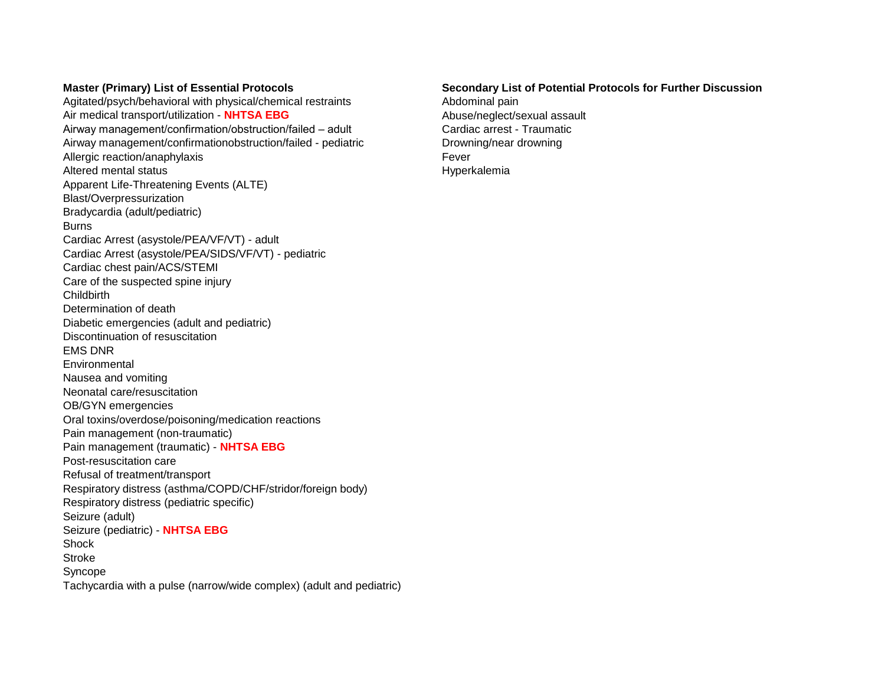Agitated/psych/behavioral with physical/chemical restraints **Abdominal pain** Air medical transport/utilization - **NHTSA EBG** Abuse/neglect/sexual assault Airway management/confirmation/obstruction/failed – adult Cardiac arrest - Traumatic Airway management/confirmationobstruction/failed - pediatric Drowning/near drowning Allergic reaction/anaphylaxis extending the state of the state of the Fever Altered mental status **Hypercalemia** Altered mental status **Hypercalemia** Apparent Life-Threatening Events (ALTE) Blast/Overpressurization Bradycardia (adult/pediatric) Burns Cardiac Arrest (asystole/PEA/VF/VT) - adult Cardiac Arrest (asystole/PEA/SIDS/VF/VT) - pediatric Cardiac chest pain/ACS/STEMI Care of the suspected spine injury **Childbirth** Determination of death Diabetic emergencies (adult and pediatric) Discontinuation of resuscitation EMS DNR **Environmental** Nausea and vomiting Neonatal care/resuscitation OB/GYN emergencies Oral toxins/overdose/poisoning/medication reactions Pain management (non-traumatic) Pain management (traumatic) - **NHTSA EBG** Post-resuscitation care Refusal of treatment/transport Respiratory distress (asthma/COPD/CHF/stridor/foreign body) Respiratory distress (pediatric specific) Seizure (adult) Seizure (pediatric) - **NHTSA EBG** Shock Stroke Syncope Tachycardia with a pulse (narrow/wide complex) (adult and pediatric)

## **Master (Primary) List of Essential Protocols Secondary List of Potential Protocols for Further Discussion**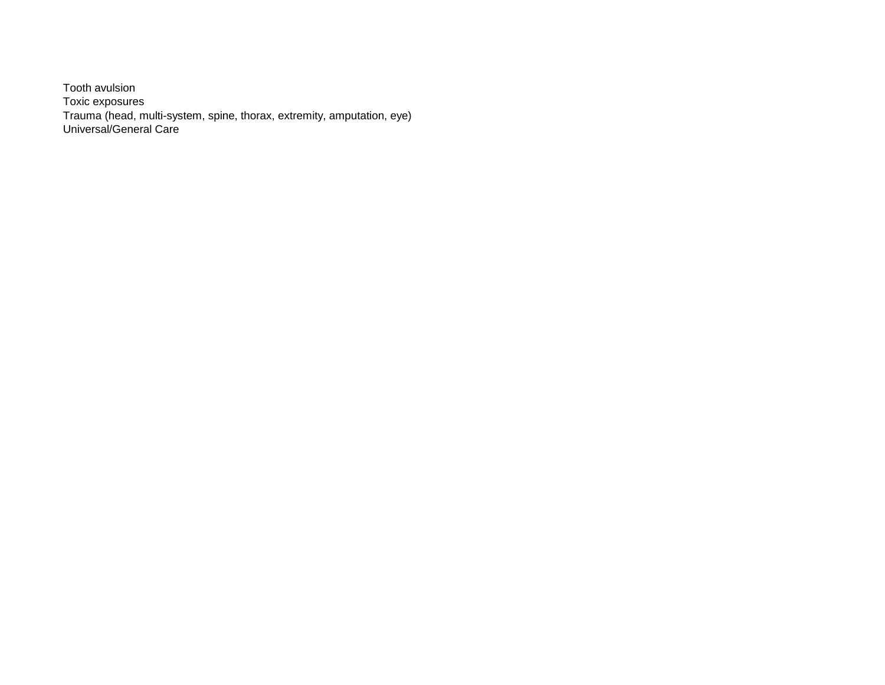Tooth avulsion Toxic exposures Trauma (head, multi-system, spine, thorax, extremity, amputation, eye) Universal/General Care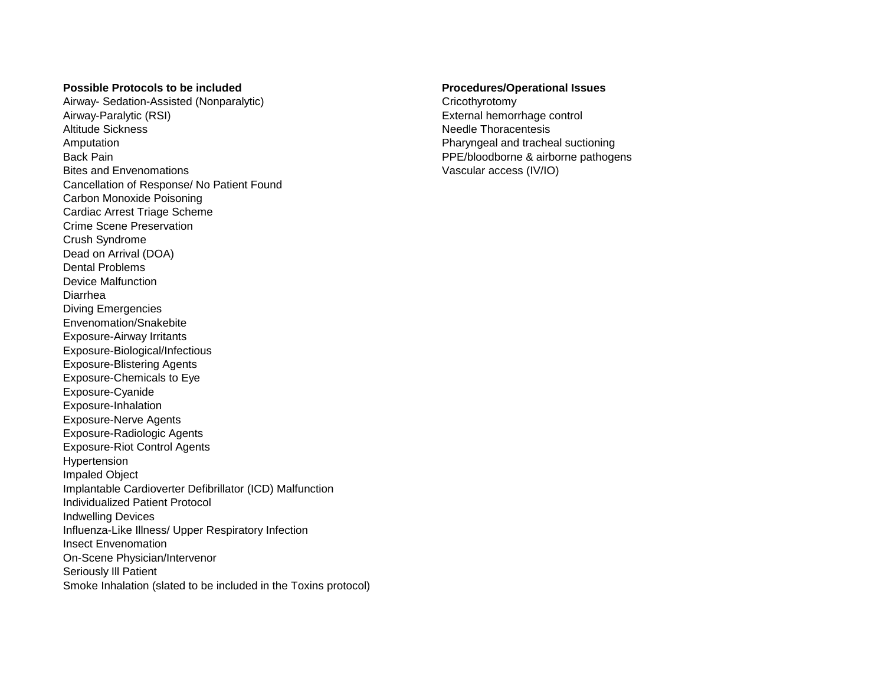## **Possible Protocols to be included Procedures/Operational Issues**

Airway- Sedation-Assisted (Nonparalytic) and the cricothyrotomy Cricothyrotomy Airway-Paralytic (RSI) and the monotonic external hemorrhage control Altitude Sickness Needle Thoracentesis Amputation **Pharyngeal and tracheal suctioning** Pharyngeal and tracheal suctioning Back Pain **PPE/bloodborne & airborne pathogens** Bites and Envenomations Vascular access (IV/IO) Cancellation of Response/ No Patient Found Carbon Monoxide Poisoning Cardiac Arrest Triage Scheme Crime Scene Preservation Crush Syndrome Dead on Arrival (DOA) Dental Problems Device Malfunction Diarrhea Diving Emergencies Envenomation/Snakebite Exposure-Airway Irritants Exposure-Biological/Infectious Exposure-Blistering Agents Exposure-Chemicals to Eye Exposure-Cyanide Exposure-Inhalation Exposure-Nerve Agents Exposure-Radiologic Agents Exposure-Riot Control Agents Hypertension Impaled Object Implantable Cardioverter Defibrillator (ICD) Malfunction Individualized Patient Protocol Indwelling Devices Influenza-Like Illness/ Upper Respiratory Infection Insect Envenomation On-Scene Physician/Intervenor Seriously Ill Patient Smoke Inhalation (slated to be included in the Toxins protocol)